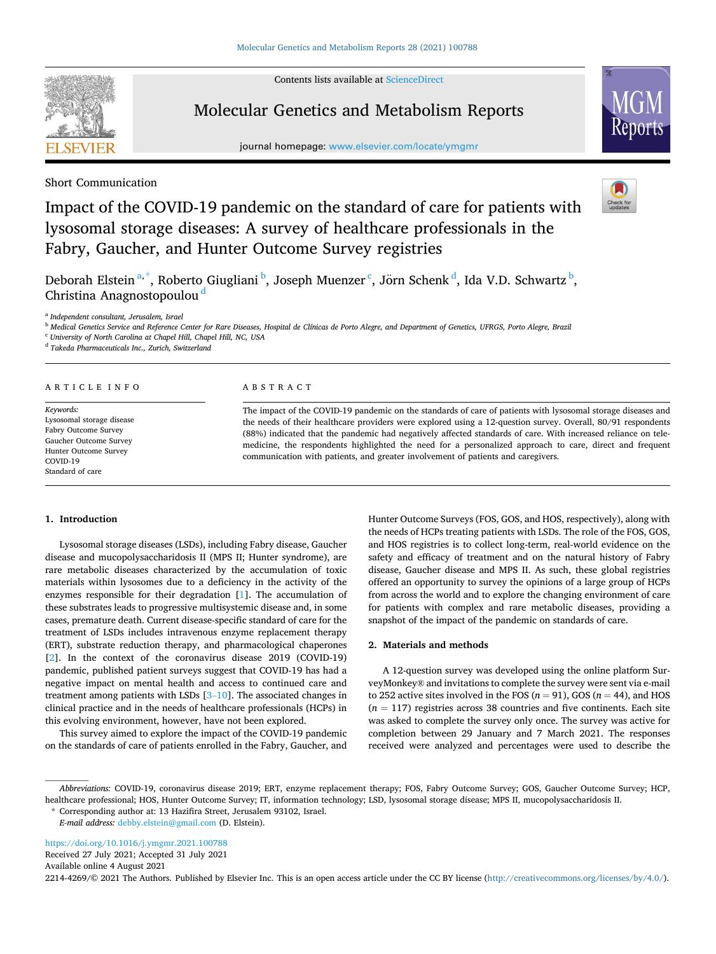Contents lists available at [ScienceDirect](www.sciencedirect.com/science/journal/22144269)

# Molecular Genetics and Metabolism Reports

journal homepage: [www.elsevier.com/locate/ymgmr](https://www.elsevier.com/locate/ymgmr)

Short Communication

# Impact of the COVID-19 pandemic on the standard of care for patients with lysosomal storage diseases: A survey of healthcare professionals in the Fabry, Gaucher, and Hunter Outcome Survey registries

Deborah Elstein<sup>a,\*</sup>, Roberto Giugliani <sup>b</sup>, Joseph Muenzer <sup>c</sup>, Jörn Schenk <sup>d</sup>, Ida V.D. Schwartz <sup>b</sup>, Christina Anagnostopoulou <sup>d</sup>

<sup>a</sup> *Independent consultant, Jerusalem, Israel* 

<sup>b</sup> *Medical Genetics Service and Reference Center for Rare Diseases, Hospital de Clínicas de Porto Alegre, and Department of Genetics, UFRGS, Porto Alegre, Brazil* 

<sup>c</sup> *University of North Carolina at Chapel Hill, Chapel Hill, NC, USA* 

<sup>d</sup> *Takeda Pharmaceuticals Inc., Zurich, Switzerland* 

# ARTICLE INFO

*Keywords:*  Lysosomal storage disease Fabry Outcome Survey Gaucher Outcome Survey Hunter Outcome Survey COVID-19 Standard of care

#### ABSTRACT

The impact of the COVID-19 pandemic on the standards of care of patients with lysosomal storage diseases and the needs of their healthcare providers were explored using a 12-question survey. Overall, 80/91 respondents (88%) indicated that the pandemic had negatively affected standards of care. With increased reliance on telemedicine, the respondents highlighted the need for a personalized approach to care, direct and frequent communication with patients, and greater involvement of patients and caregivers.

## **1. Introduction**

Lysosomal storage diseases (LSDs), including Fabry disease, Gaucher disease and mucopolysaccharidosis II (MPS II; Hunter syndrome), are rare metabolic diseases characterized by the accumulation of toxic materials within lysosomes due to a deficiency in the activity of the enzymes responsible for their degradation [\[1\]](#page-3-0). The accumulation of these substrates leads to progressive multisystemic disease and, in some cases, premature death. Current disease-specific standard of care for the treatment of LSDs includes intravenous enzyme replacement therapy (ERT), substrate reduction therapy, and pharmacological chaperones [[2](#page-3-0)]. In the context of the coronavirus disease 2019 (COVID-19) pandemic, published patient surveys suggest that COVID-19 has had a negative impact on mental health and access to continued care and treatment among patients with LSDs [3–[10](#page-3-0)]. The associated changes in clinical practice and in the needs of healthcare professionals (HCPs) in this evolving environment, however, have not been explored.

This survey aimed to explore the impact of the COVID-19 pandemic on the standards of care of patients enrolled in the Fabry, Gaucher, and Hunter Outcome Surveys (FOS, GOS, and HOS, respectively), along with the needs of HCPs treating patients with LSDs. The role of the FOS, GOS, and HOS registries is to collect long-term, real-world evidence on the safety and efficacy of treatment and on the natural history of Fabry disease, Gaucher disease and MPS II. As such, these global registries offered an opportunity to survey the opinions of a large group of HCPs from across the world and to explore the changing environment of care for patients with complex and rare metabolic diseases, providing a snapshot of the impact of the pandemic on standards of care.

### **2. Materials and methods**

A 12-question survey was developed using the online platform SurveyMonkey® and invitations to complete the survey were sent via e-mail to 252 active sites involved in the FOS ( $n = 91$ ), GOS ( $n = 44$ ), and HOS  $(n = 117)$  registries across 38 countries and five continents. Each site was asked to complete the survey only once. The survey was active for completion between 29 January and 7 March 2021. The responses received were analyzed and percentages were used to describe the

*Abbreviations:* COVID-19, coronavirus disease 2019; ERT, enzyme replacement therapy; FOS, Fabry Outcome Survey; GOS, Gaucher Outcome Survey; HCP, healthcare professional; HOS, Hunter Outcome Survey; IT, information technology; LSD, lysosomal storage disease; MPS II, mucopolysaccharidosis II.

\* Corresponding author at: 13 Hazifira Street, Jerusalem 93102, Israel.

*E-mail address:* [debby.elstein@gmail.com](mailto:debby.elstein@gmail.com) (D. Elstein).

<https://doi.org/10.1016/j.ymgmr.2021.100788>

Received 27 July 2021; Accepted 31 July 2021

Available online 4 August 2021

2214-4269/©2021 The Authors. Published by Elsevier Inc. This is an open access article under the CC BY license (<http://creativecommons.org/licenses/by/4.0/>).



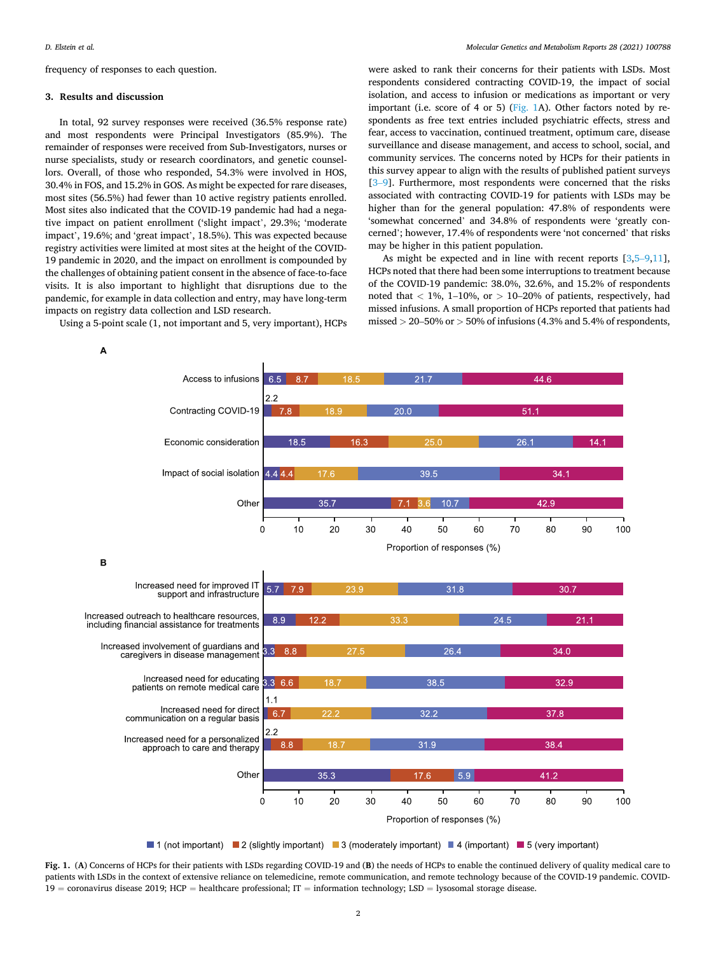<span id="page-1-0"></span>frequency of responses to each question.

#### **3. Results and discussion**

In total, 92 survey responses were received (36.5% response rate) and most respondents were Principal Investigators (85.9%). The remainder of responses were received from Sub-Investigators, nurses or nurse specialists, study or research coordinators, and genetic counsellors. Overall, of those who responded, 54.3% were involved in HOS, 30.4% in FOS, and 15.2% in GOS. As might be expected for rare diseases, most sites (56.5%) had fewer than 10 active registry patients enrolled. Most sites also indicated that the COVID-19 pandemic had had a negative impact on patient enrollment ('slight impact', 29.3%; 'moderate impact', 19.6%; and 'great impact', 18.5%). This was expected because registry activities were limited at most sites at the height of the COVID-19 pandemic in 2020, and the impact on enrollment is compounded by the challenges of obtaining patient consent in the absence of face-to-face visits. It is also important to highlight that disruptions due to the pandemic, for example in data collection and entry, may have long-term impacts on registry data collection and LSD research.

Using a 5-point scale (1, not important and 5, very important), HCPs

were asked to rank their concerns for their patients with LSDs. Most respondents considered contracting COVID-19, the impact of social isolation, and access to infusion or medications as important or very important (i.e. score of 4 or 5) (Fig. 1A). Other factors noted by respondents as free text entries included psychiatric effects, stress and fear, access to vaccination, continued treatment, optimum care, disease surveillance and disease management, and access to school, social, and community services. The concerns noted by HCPs for their patients in this survey appear to align with the results of published patient surveys [3–[9\]](#page-3-0). Furthermore, most respondents were concerned that the risks associated with contracting COVID-19 for patients with LSDs may be higher than for the general population: 47.8% of respondents were 'somewhat concerned' and 34.8% of respondents were 'greatly concerned'; however, 17.4% of respondents were 'not concerned' that risks may be higher in this patient population.

As might be expected and in line with recent reports [\[3,](#page-3-0)5–[9,11](#page-3-0)], HCPs noted that there had been some interruptions to treatment because of the COVID-19 pandemic: 38.0%, 32.6%, and 15.2% of respondents noted that  $\langle 1\%, 1\t-10\%, \text{ or } \rangle 10-20\%$  of patients, respectively, had missed infusions. A small proportion of HCPs reported that patients had missed *>* 20–50% or *>* 50% of infusions (4.3% and 5.4% of respondents,



**Fig. 1.** (**A**) Concerns of HCPs for their patients with LSDs regarding COVID-19 and (**B**) the needs of HCPs to enable the continued delivery of quality medical care to patients with LSDs in the context of extensive reliance on telemedicine, remote communication, and remote technology because of the COVID-19 pandemic. COVID-19 = coronavirus disease 2019; HCP = healthcare professional; IT = information technology; LSD = lysosomal storage disease.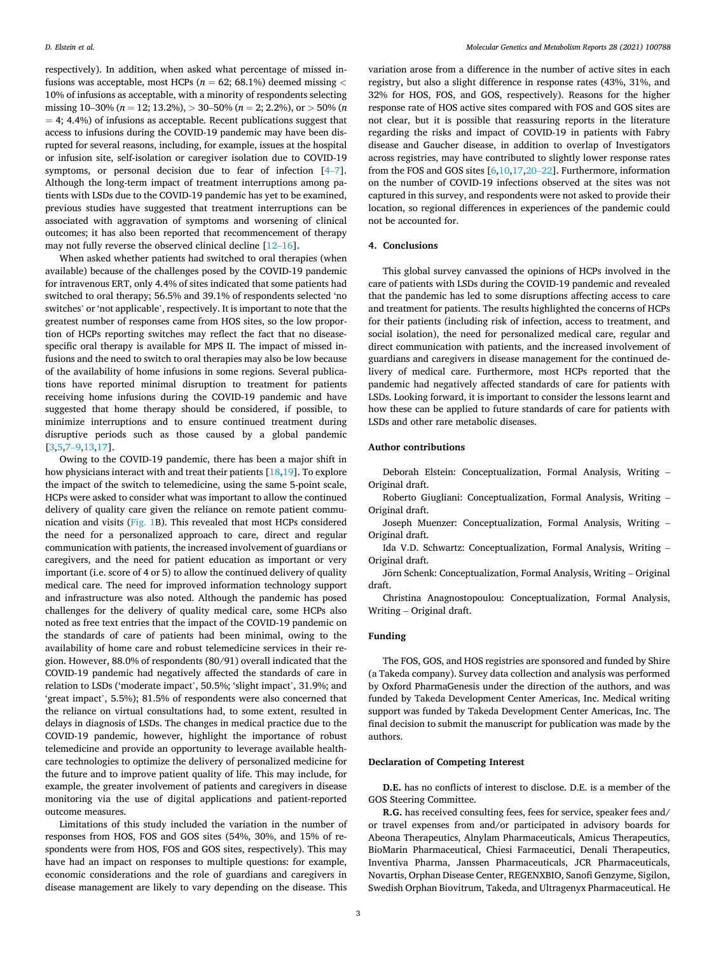respectively). In addition, when asked what percentage of missed infusions was acceptable, most HCPs (*n* = 62; 68.1%) deemed missing *<* 10% of infusions as acceptable, with a minority of respondents selecting missing 10–30% (*n* = 12; 13.2%), *>* 30–50% (*n* = 2; 2.2%), or *>* 50% (*n*   $= 4$ ; 4.4%) of infusions as acceptable. Recent publications suggest that access to infusions during the COVID-19 pandemic may have been disrupted for several reasons, including, for example, issues at the hospital or infusion site, self-isolation or caregiver isolation due to COVID-19 symptoms, or personal decision due to fear of infection [\[4](#page-3-0)–7]. Although the long-term impact of treatment interruptions among patients with LSDs due to the COVID-19 pandemic has yet to be examined, previous studies have suggested that treatment interruptions can be associated with aggravation of symptoms and worsening of clinical outcomes; it has also been reported that recommencement of therapy may not fully reverse the observed clinical decline [12–[16\]](#page-3-0).

When asked whether patients had switched to oral therapies (when available) because of the challenges posed by the COVID-19 pandemic for intravenous ERT, only 4.4% of sites indicated that some patients had switched to oral therapy; 56.5% and 39.1% of respondents selected 'no switches' or 'not applicable', respectively. It is important to note that the greatest number of responses came from HOS sites, so the low proportion of HCPs reporting switches may reflect the fact that no diseasespecific oral therapy is available for MPS II. The impact of missed infusions and the need to switch to oral therapies may also be low because of the availability of home infusions in some regions. Several publications have reported minimal disruption to treatment for patients receiving home infusions during the COVID-19 pandemic and have suggested that home therapy should be considered, if possible, to minimize interruptions and to ensure continued treatment during disruptive periods such as those caused by a global pandemic [[3](#page-3-0),[5,7](#page-3-0)–9,[13,17\]](#page-3-0).

Owing to the COVID-19 pandemic, there has been a major shift in how physicians interact with and treat their patients [\[18,19](#page-3-0)]. To explore the impact of the switch to telemedicine, using the same 5-point scale, HCPs were asked to consider what was important to allow the continued delivery of quality care given the reliance on remote patient communication and visits ([Fig. 1](#page-1-0)B). This revealed that most HCPs considered the need for a personalized approach to care, direct and regular communication with patients, the increased involvement of guardians or caregivers, and the need for patient education as important or very important (i.e. score of 4 or 5) to allow the continued delivery of quality medical care. The need for improved information technology support and infrastructure was also noted. Although the pandemic has posed challenges for the delivery of quality medical care, some HCPs also noted as free text entries that the impact of the COVID-19 pandemic on the standards of care of patients had been minimal, owing to the availability of home care and robust telemedicine services in their region. However, 88.0% of respondents (80/91) overall indicated that the COVID-19 pandemic had negatively affected the standards of care in relation to LSDs ('moderate impact', 50.5%; 'slight impact', 31.9%; and 'great impact', 5.5%); 81.5% of respondents were also concerned that the reliance on virtual consultations had, to some extent, resulted in delays in diagnosis of LSDs. The changes in medical practice due to the COVID-19 pandemic, however, highlight the importance of robust telemedicine and provide an opportunity to leverage available healthcare technologies to optimize the delivery of personalized medicine for the future and to improve patient quality of life. This may include, for example, the greater involvement of patients and caregivers in disease monitoring via the use of digital applications and patient-reported outcome measures.

Limitations of this study included the variation in the number of responses from HOS, FOS and GOS sites (54%, 30%, and 15% of respondents were from HOS, FOS and GOS sites, respectively). This may have had an impact on responses to multiple questions: for example, economic considerations and the role of guardians and caregivers in disease management are likely to vary depending on the disease. This

variation arose from a difference in the number of active sites in each registry, but also a slight difference in response rates (43%, 31%, and 32% for HOS, FOS, and GOS, respectively). Reasons for the higher response rate of HOS active sites compared with FOS and GOS sites are not clear, but it is possible that reassuring reports in the literature regarding the risks and impact of COVID-19 in patients with Fabry disease and Gaucher disease, in addition to overlap of Investigators across registries, may have contributed to slightly lower response rates from the FOS and GOS sites [\[6,10,17](#page-3-0),20–[22\]](#page-3-0). Furthermore, information on the number of COVID-19 infections observed at the sites was not captured in this survey, and respondents were not asked to provide their location, so regional differences in experiences of the pandemic could not be accounted for.

#### **4. Conclusions**

This global survey canvassed the opinions of HCPs involved in the care of patients with LSDs during the COVID-19 pandemic and revealed that the pandemic has led to some disruptions affecting access to care and treatment for patients. The results highlighted the concerns of HCPs for their patients (including risk of infection, access to treatment, and social isolation), the need for personalized medical care, regular and direct communication with patients, and the increased involvement of guardians and caregivers in disease management for the continued delivery of medical care. Furthermore, most HCPs reported that the pandemic had negatively affected standards of care for patients with LSDs. Looking forward, it is important to consider the lessons learnt and how these can be applied to future standards of care for patients with LSDs and other rare metabolic diseases.

#### **Author contributions**

Deborah Elstein: Conceptualization, Formal Analysis, Writing – Original draft.

Roberto Giugliani: Conceptualization, Formal Analysis, Writing – Original draft.

Joseph Muenzer: Conceptualization, Formal Analysis, Writing – Original draft.

Ida V.D. Schwartz: Conceptualization, Formal Analysis, Writing – Original draft.

Jörn Schenk: Conceptualization, Formal Analysis, Writing - Original draft.

Christina Anagnostopoulou: Conceptualization, Formal Analysis, Writing – Original draft.

#### **Funding**

The FOS, GOS, and HOS registries are sponsored and funded by Shire (a Takeda company). Survey data collection and analysis was performed by Oxford PharmaGenesis under the direction of the authors, and was funded by Takeda Development Center Americas, Inc. Medical writing support was funded by Takeda Development Center Americas, Inc. The final decision to submit the manuscript for publication was made by the authors.

### **Declaration of Competing Interest**

**D.E.** has no conflicts of interest to disclose. D.E. is a member of the GOS Steering Committee.

**R.G.** has received consulting fees, fees for service, speaker fees and/ or travel expenses from and/or participated in advisory boards for Abeona Therapeutics, Alnylam Pharmaceuticals, Amicus Therapeutics, BioMarin Pharmaceutical, Chiesi Farmaceutici, Denali Therapeutics, Inventiva Pharma, Janssen Pharmaceuticals, JCR Pharmaceuticals, Novartis, Orphan Disease Center, REGENXBIO, Sanofi Genzyme, Sigilon, Swedish Orphan Biovitrum, Takeda, and Ultragenyx Pharmaceutical. He